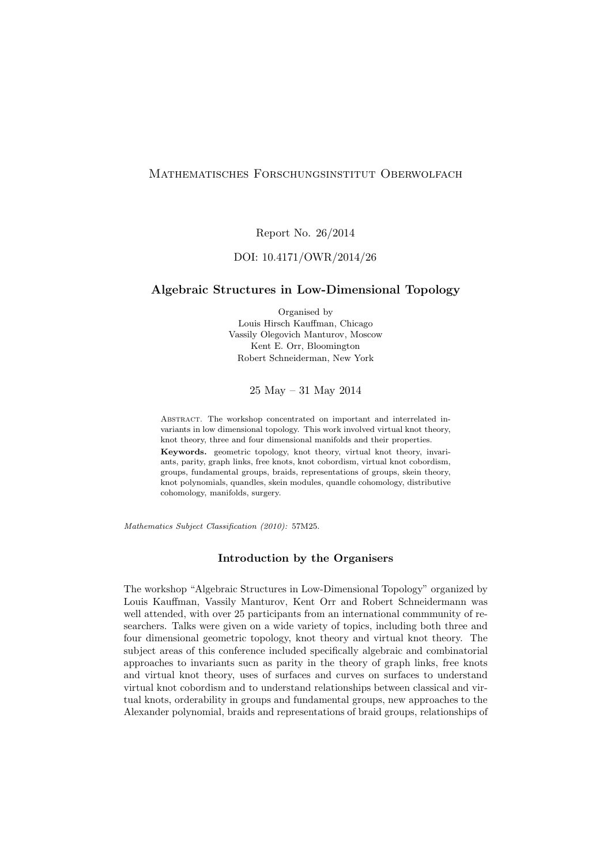## Mathematisches Forschungsinstitut Oberwolfach

Report No. 26/2014

## DOI: 10.4171/OWR/2014/26

#### Algebraic Structures in Low-Dimensional Topology

Organised by Louis Hirsch Kauffman, Chicago Vassily Olegovich Manturov, Moscow Kent E. Orr, Bloomington Robert Schneiderman, New York

25 May – 31 May 2014

ABSTRACT. The workshop concentrated on important and interrelated invariants in low dimensional topology. This work involved virtual knot theory, knot theory, three and four dimensional manifolds and their properties. Keywords. geometric topology, knot theory, virtual knot theory, invariants, parity, graph links, free knots, knot cobordism, virtual knot cobordism, groups, fundamental groups, braids, representations of groups, skein theory, knot polynomials, quandles, skein modules, quandle cohomology, distributive cohomology, manifolds, surgery.

Mathematics Subject Classification (2010): 57M25.

#### Introduction by the Organisers

The workshop "Algebraic Structures in Low-Dimensional Topology" organized by Louis Kauffman, Vassily Manturov, Kent Orr and Robert Schneidermann was well attended, with over 25 participants from an international commmunity of researchers. Talks were given on a wide variety of topics, including both three and four dimensional geometric topology, knot theory and virtual knot theory. The subject areas of this conference included specifically algebraic and combinatorial approaches to invariants sucn as parity in the theory of graph links, free knots and virtual knot theory, uses of surfaces and curves on surfaces to understand virtual knot cobordism and to understand relationships between classical and virtual knots, orderability in groups and fundamental groups, new approaches to the Alexander polynomial, braids and representations of braid groups, relationships of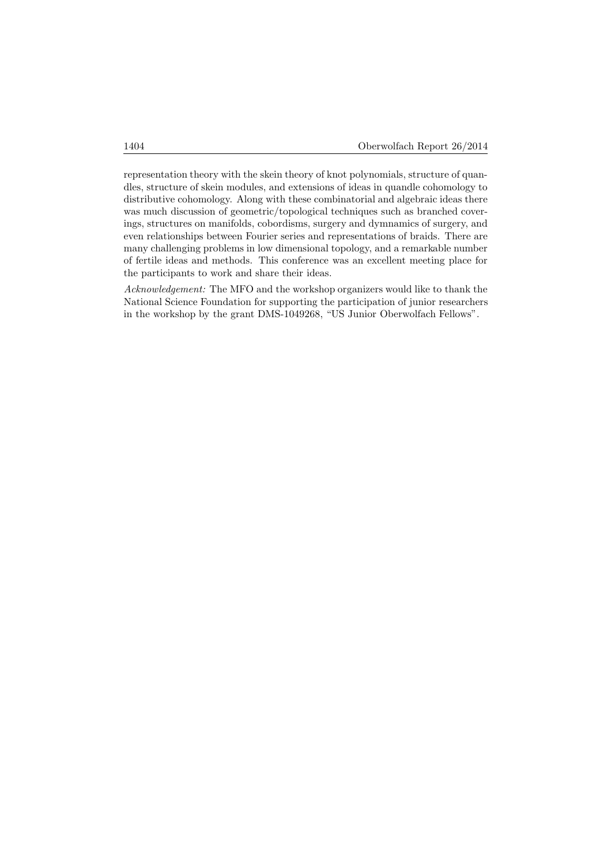representation theory with the skein theory of knot polynomials, structure of quandles, structure of skein modules, and extensions of ideas in quandle cohomology to distributive cohomology. Along with these combinatorial and algebraic ideas there was much discussion of geometric/topological techniques such as branched coverings, structures on manifolds, cobordisms, surgery and dymnamics of surgery, and even relationships between Fourier series and representations of braids. There are many challenging problems in low dimensional topology, and a remarkable number of fertile ideas and methods. This conference was an excellent meeting place for the participants to work and share their ideas.

Acknowledgement: The MFO and the workshop organizers would like to thank the National Science Foundation for supporting the participation of junior researchers in the workshop by the grant DMS-1049268, "US Junior Oberwolfach Fellows".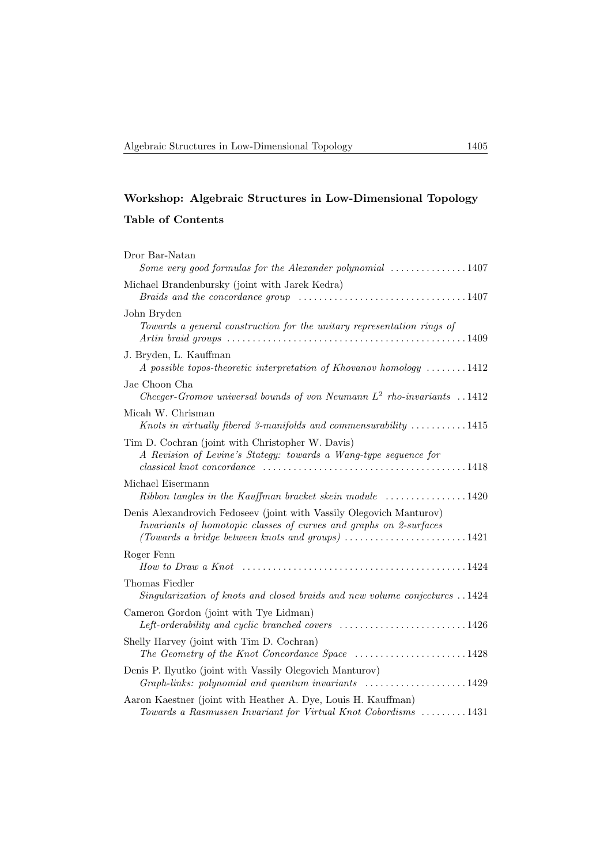# Workshop: Algebraic Structures in Low-Dimensional Topology

## Table of Contents

| Dror Bar-Natan<br>Some very good formulas for the Alexander polynomial $\ldots \ldots \ldots \ldots 1407$                                                                                                                                         |
|---------------------------------------------------------------------------------------------------------------------------------------------------------------------------------------------------------------------------------------------------|
| Michael Brandenbursky (joint with Jarek Kedra)                                                                                                                                                                                                    |
| John Bryden<br>Towards a general construction for the unitary representation rings of<br>Artin braid groups $\ldots \ldots \ldots \ldots \ldots \ldots \ldots \ldots \ldots \ldots \ldots \ldots \ldots 1409$                                     |
| J. Bryden, L. Kauffman<br>A possible topos-theoretic interpretation of Khovanov homology $\dots \dots 1412$                                                                                                                                       |
| Jae Choon Cha<br>Cheeger-Gromov universal bounds of von Neumann $L^2$ rho-invariants 1412                                                                                                                                                         |
| Micah W. Chrisman<br>Knots in virtually fibered 3-manifolds and commensurability $\dots \dots \dots 1415$                                                                                                                                         |
| Tim D. Cochran (joint with Christopher W. Davis)<br>A Revision of Levine's Stategy: towards a Wang-type sequence for                                                                                                                              |
| Michael Eisermann<br>$Ribbon$ tangles in the Kauffman bracket skein module $\ldots \ldots \ldots \ldots 1420$                                                                                                                                     |
| Denis Alexandrovich Fedoseev (joint with Vassily Olegovich Manturov)<br>Invariants of homotopic classes of curves and graphs on 2-surfaces<br>(Towards a bridge between knots and groups) $\ldots \ldots \ldots \ldots \ldots \ldots \ldots 1421$ |
| Roger Fenn                                                                                                                                                                                                                                        |
| Thomas Fiedler<br>Singularization of knots and closed braids and new volume conjectures 1424                                                                                                                                                      |
| Cameron Gordon (joint with Tye Lidman)<br>Left-orderability and cyclic branched covers $\ldots \ldots \ldots \ldots \ldots \ldots \ldots 1426$                                                                                                    |
| Shelly Harvey (joint with Tim D. Cochran)<br>The Geometry of the Knot Concordance Space 1428                                                                                                                                                      |
| Denis P. Ilyutko (joint with Vassily Olegovich Manturov)<br>Graph-links: polynomial and quantum invariants 1429                                                                                                                                   |
| Aaron Kaestner (joint with Heather A. Dye, Louis H. Kauffman)<br>Towards a Rasmussen Invariant for Virtual Knot Cobordisms 1431                                                                                                                   |